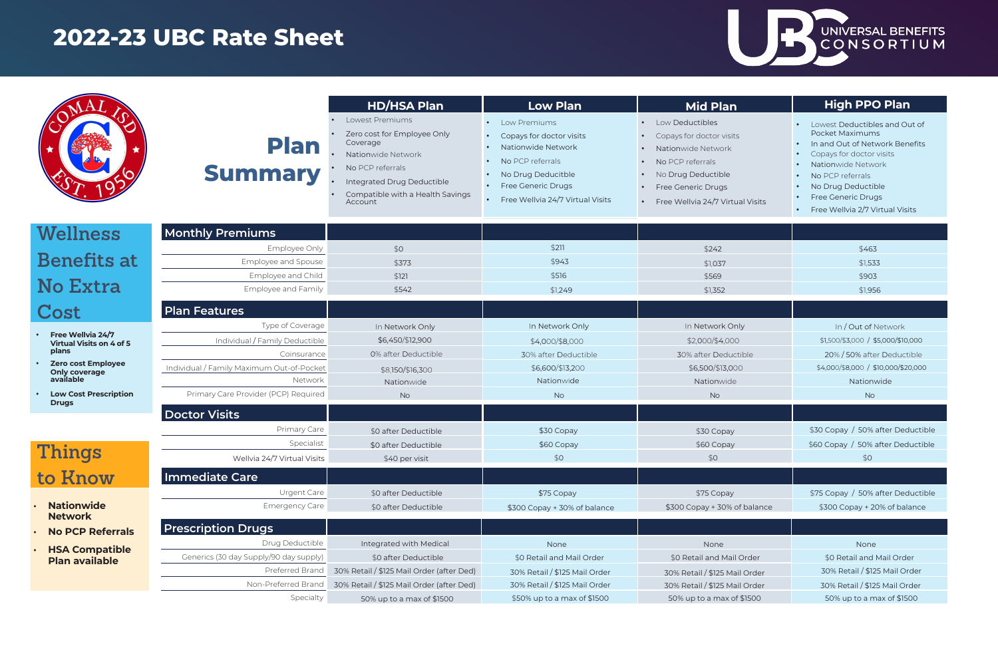|                                                   |                                                              | <b>HD/HSA Plan</b>                                                                                                                                                                | <b>Low Plan</b>                                                                                                                                                                                     | <b>Mid Plan</b>                                                                                                                                                                           |
|---------------------------------------------------|--------------------------------------------------------------|-----------------------------------------------------------------------------------------------------------------------------------------------------------------------------------|-----------------------------------------------------------------------------------------------------------------------------------------------------------------------------------------------------|-------------------------------------------------------------------------------------------------------------------------------------------------------------------------------------------|
|                                                   | <b>Plan</b><br><b>Summary</b>                                | Lowest Premiums<br>Zero cost for Employee Only<br>Coverage<br>Nationwide Network<br>No PCP referrals<br>Integrated Drug Deductible<br>Compatible with a Health Savings<br>Account | Low Premiums<br>Copays for doctor visits<br>Nationwide Network<br>No PCP referrals<br>No Drug Deducitble<br><b>Free Generic Drugs</b><br>$\bullet$<br>Free Wellvia 24/7 Virtual Visits<br>$\bullet$ | Low Deductibles<br>Copays for doctor visits<br>Nationwide Network<br>No PCP referrals<br>No Drug Deductible<br>$\bullet$<br><b>Free Generic Drugs</b><br>Free Wellvia 24/7 Virtual Visits |
| Wellness                                          | <b>Monthly Premiums</b>                                      |                                                                                                                                                                                   |                                                                                                                                                                                                     |                                                                                                                                                                                           |
|                                                   | Employee Only                                                | \$0                                                                                                                                                                               | \$211                                                                                                                                                                                               | \$242                                                                                                                                                                                     |
| Benefits at                                       | Employee and Spouse                                          | \$373                                                                                                                                                                             | \$943                                                                                                                                                                                               | \$1,037                                                                                                                                                                                   |
| <b>No Extra</b>                                   | Employee and Child<br>Employee and Family                    | \$121<br>\$542                                                                                                                                                                    | \$516<br>\$1,249                                                                                                                                                                                    | \$569<br>\$1,352                                                                                                                                                                          |
| Cost                                              | <b>Plan Features</b>                                         |                                                                                                                                                                                   |                                                                                                                                                                                                     |                                                                                                                                                                                           |
| Free Wellvia 24/7                                 | Type of Coverage                                             | In Network Only                                                                                                                                                                   | In Network Only                                                                                                                                                                                     | In Network Only                                                                                                                                                                           |
| <b>Virtual Visits on 4 of 5</b>                   | Individual / Family Deductible                               | \$6,450/\$12,900                                                                                                                                                                  | \$4,000/\$8,000                                                                                                                                                                                     | \$2,000/\$4,000                                                                                                                                                                           |
| plans                                             | Coinsurance                                                  | 0% after Deductible                                                                                                                                                               | 30% after Deductible                                                                                                                                                                                | 30% after Deductible                                                                                                                                                                      |
| <b>Zero cost Employee</b><br><b>Only coverage</b> | Individual / Family Maximum Out-of-Pocket                    | \$8,150/\$16,300                                                                                                                                                                  | \$6,600/\$13,200                                                                                                                                                                                    | \$6,500/\$13,000                                                                                                                                                                          |
| available                                         | Network                                                      | Nationwide                                                                                                                                                                        | Nationwide                                                                                                                                                                                          | Nationwide                                                                                                                                                                                |
| <b>Low Cost Prescription</b><br><b>Drugs</b>      | Primary Care Provider (PCP) Required<br><b>Doctor Visits</b> | <b>No</b>                                                                                                                                                                         | <b>No</b>                                                                                                                                                                                           | <b>No</b>                                                                                                                                                                                 |
|                                                   | Primary Care                                                 | \$0 after Deductible                                                                                                                                                              | \$30 Copay                                                                                                                                                                                          | \$30 Copay                                                                                                                                                                                |
|                                                   | Specialist                                                   | \$0 after Deductible                                                                                                                                                              | \$60 Copay                                                                                                                                                                                          | \$60 Copay                                                                                                                                                                                |
| Things                                            | Wellvia 24/7 Virtual Visits                                  | \$40 per visit                                                                                                                                                                    | \$0                                                                                                                                                                                                 | \$0                                                                                                                                                                                       |
| to Know                                           | Immediate Care                                               |                                                                                                                                                                                   |                                                                                                                                                                                                     |                                                                                                                                                                                           |
|                                                   | Urgent Care                                                  | \$0 after Deductible                                                                                                                                                              | \$75 Copay                                                                                                                                                                                          | \$75 Copay                                                                                                                                                                                |
| <b>Nationwide</b><br><b>Network</b>               | <b>Emergency Care</b>                                        | \$0 after Deductible                                                                                                                                                              | \$300 Copay + 30% of balance                                                                                                                                                                        | \$300 Copay + 30% of balance                                                                                                                                                              |
| <b>No PCP Referrals</b>                           | <b>Prescription Drugs</b>                                    |                                                                                                                                                                                   |                                                                                                                                                                                                     |                                                                                                                                                                                           |
| <b>HSA Compatible</b>                             | Drug Deductible                                              | Integrated with Medical                                                                                                                                                           | None                                                                                                                                                                                                | None                                                                                                                                                                                      |
| <b>Plan available</b>                             | Generics (30 day Supply/90 day supply)                       | \$0 after Deductible                                                                                                                                                              | \$0 Retail and Mail Order                                                                                                                                                                           | \$0 Retail and Mail Order                                                                                                                                                                 |
|                                                   | Preferred Brand                                              | 30% Retail / \$125 Mail Order (after Ded)                                                                                                                                         | 30% Retail / \$125 Mail Order                                                                                                                                                                       | 30% Retail / \$125 Mail Order                                                                                                                                                             |
|                                                   | Non-Preferred Brand                                          | 30% Retail / \$125 Mail Order (after Ded)                                                                                                                                         | 30% Retail / \$125 Mail Order                                                                                                                                                                       | 30% Retail / \$125 Mail Order                                                                                                                                                             |
|                                                   | Specialty                                                    | 50% up to a max of \$1500                                                                                                                                                         | \$50% up to a max of \$1500                                                                                                                                                                         | 50% up to a max of \$1500                                                                                                                                                                 |

# UNIVERSAL BENEFITS

|              | <b>High PPO Plan</b>                                                                                                                 |
|--------------|--------------------------------------------------------------------------------------------------------------------------------------|
| <b>S</b>     | Lowest Deductibles and Out of<br>Pocket Maximums<br>In and Out of Network Benefits<br>Copays for doctor visits<br>Nationwide Network |
| ual Visits   | No PCP referrals<br>No Drug Deductible<br><b>Free Generic Drugs</b><br>Free Wellvia 2/7 Virtual Visits                               |
|              |                                                                                                                                      |
|              | \$463<br>\$1,533<br>\$903<br>\$1,956                                                                                                 |
|              |                                                                                                                                      |
|              |                                                                                                                                      |
| าly          | In / Out of Network                                                                                                                  |
| O            | \$1,500/\$3,000 / \$5,000/\$10,000                                                                                                   |
| ctible       | 20% / 50% after Deductible                                                                                                           |
| ĴО           | \$4,000/\$8,000 / \$10,000/\$20,000                                                                                                  |
| $\mathbf{r}$ | Nationwide<br>No                                                                                                                     |
|              |                                                                                                                                      |
|              |                                                                                                                                      |
|              | \$30 Copay / 50% after Deductible                                                                                                    |
|              | \$60 Copay / 50% after Deductible                                                                                                    |
|              | \$0                                                                                                                                  |
|              |                                                                                                                                      |
|              | \$75 Copay / 50% after Deductible                                                                                                    |
| of balance   | \$300 Copay + 20% of balance                                                                                                         |
|              |                                                                                                                                      |
|              | None                                                                                                                                 |
| <b>Order</b> | \$0 Retail and Mail Order                                                                                                            |
| ail Order    | 30% Retail / \$125 Mail Order                                                                                                        |
| ail Order    | 30% Retail / \$125 Mail Order                                                                                                        |
| f \$1500     | 50% up to a max of \$1500                                                                                                            |
|              |                                                                                                                                      |

# **2022-23 UBC Rate Sheet**